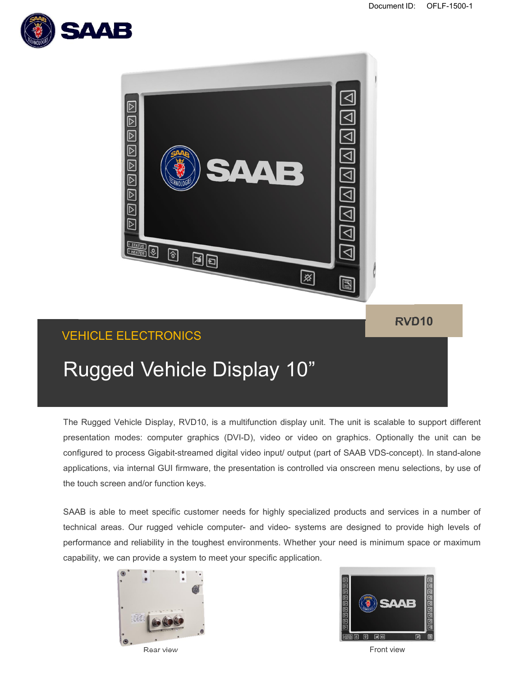



The Rugged Vehicle Display, RVD10, is a multifunction display unit. The unit is scalable to support different presentation modes: computer graphics (DVI-D), video or video on graphics. Optionally the unit can be configured to process Gigabit-streamed digital video input/ output (part of SAAB VDS-concept). In stand-alone applications, via internal GUI firmware, the presentation is controlled via onscreen menu selections, by use of the touch screen and/or function keys.

SAAB is able to meet specific customer needs for highly specialized products and services in a number of technical areas. Our rugged vehicle computer- and video- systems are designed to provide high levels of performance and reliability in the toughest environments. Whether your need is minimum space or maximum capability, we can provide a system to meet your specific application.





Rear view Front view